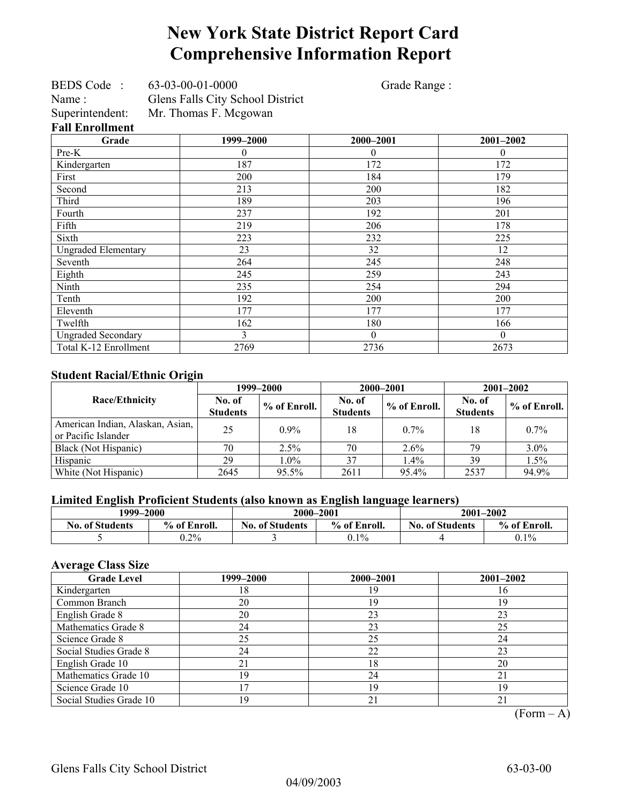## **New York State District Report Card Comprehensive Information Report**

Grade Range :

| <b>Fall Enrollment</b> |                                  |
|------------------------|----------------------------------|
| Superintendent:        | Mr. Thomas F. Mcgowan            |
| Name:                  | Glens Falls City School District |
| <b>BEDS</b> Code       | 63-03-00-01-0000                 |

**Grade** 1999–2000 2000–2001 2001–2002 Pre-K  $\begin{array}{ccccccccccccc}\n0 & 0 & 0 & 0 & 0\n\end{array}$ Kindergarten 187 172 172 First 179 Second 182 Third 189 196 203 196 Fourth  $237$  192 201 Fifth 178 Sixth 223 225 Ungraded Elementary 12 23 32 12 Seventh 264 245 248 Eighth 243 243 259 243 Ninth 235 294 294 Tenth 192 200 200 200 Eleventh 177 177 177 177 177 Twelfth 162 162 180 166 Ungraded Secondary and the secondary and the secondary of the secondary of the secondary of the secondary of the secondary of the secondary of the secondary of the secondary of the secondary of the secondary of the seconda Total K-12 Enrollment 2769 2736 2736 2673

#### **Student Racial/Ethnic Origin**

| ັ                                                       |                           | 1999–2000      | 2000-2001                 |              | $2001 - 2002$             |              |
|---------------------------------------------------------|---------------------------|----------------|---------------------------|--------------|---------------------------|--------------|
| Race/Ethnicity                                          | No. of<br><b>Students</b> | $%$ of Enroll. | No. of<br><b>Students</b> | % of Enroll. | No. of<br><b>Students</b> | % of Enroll. |
| American Indian, Alaskan, Asian,<br>or Pacific Islander | 25                        | $0.9\%$        | 18                        | $0.7\%$      | 18                        | $0.7\%$      |
| Black (Not Hispanic)                                    | 70                        | 2.5%           | 70                        | $2.6\%$      | 79                        | 3.0%         |
| Hispanic                                                | 29                        | $1.0\%$        | 37                        | 1.4%         | 39                        | 1.5%         |
| White (Not Hispanic)                                    | 2645                      | 95.5%          | 2611                      | 95.4%        | 2537                      | 94.9%        |

#### **Limited English Proficient Students (also known as English language learners)**

| 1999–2000              |              | 2000-2001              |              | $2001 - 2002$          |              |  |
|------------------------|--------------|------------------------|--------------|------------------------|--------------|--|
| <b>No. of Students</b> | % of Enroll. | <b>No. of Students</b> | % of Enroll. | <b>No. of Students</b> | % of Enroll. |  |
|                        | $0.2\%$      |                        | $0.1\%$      |                        | $0.1\%$      |  |

#### **Average Class Size**

| <b>Grade Level</b>      | 1999–2000 | 2000-2001 | 2001-2002 |
|-------------------------|-----------|-----------|-----------|
| Kindergarten            | 18        | 19        | 16        |
| Common Branch           | 20        | 19        | 19        |
| English Grade 8         | 20        | 23        | 23        |
| Mathematics Grade 8     | 24        | 23        | 25        |
| Science Grade 8         | 25        | 25        | 24        |
| Social Studies Grade 8  | 24        | 22        | 23        |
| English Grade 10        | 21        | 18        | 20        |
| Mathematics Grade 10    | 19        | 24        | 21        |
| Science Grade 10        |           | 19        | 19        |
| Social Studies Grade 10 | 19        | 21        |           |

 $(Form - A)$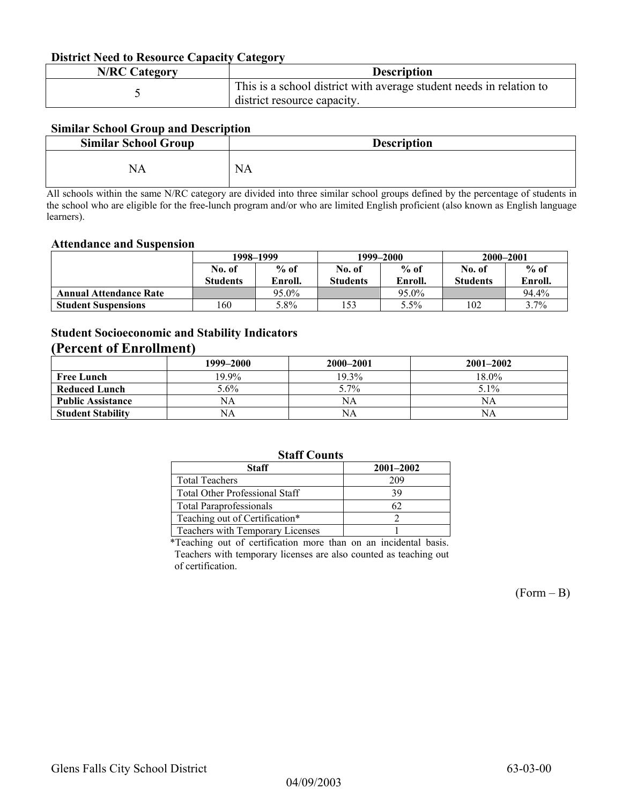#### **District Need to Resource Capacity Category**

| <b>N/RC Category</b> | <b>Description</b>                                                                                 |
|----------------------|----------------------------------------------------------------------------------------------------|
|                      | This is a school district with average student needs in relation to<br>district resource capacity. |

#### **Similar School Group and Description**

| <b>Similar School Group</b> | <b>Description</b> |
|-----------------------------|--------------------|
| NA                          | <b>NA</b>          |

All schools within the same N/RC category are divided into three similar school groups defined by the percentage of students in the school who are eligible for the free-lunch program and/or who are limited English proficient (also known as English language learners).

#### **Attendance and Suspension**

|                               | 1998–1999       |         |                 | 1999–2000 | 2000-2001       |         |
|-------------------------------|-----------------|---------|-----------------|-----------|-----------------|---------|
|                               | No. of          | $%$ of  | No. of          | $%$ of    | No. of          | $%$ of  |
|                               | <b>Students</b> | Enroll. | <b>Students</b> | Enroll.   | <b>Students</b> | Enroll. |
| <b>Annual Attendance Rate</b> |                 | 95.0%   |                 | 95.0%     |                 | 94.4%   |
| <b>Student Suspensions</b>    | 160             | 5.8%    | 153             | 5.5%      | 102             | 3.7%    |

### **Student Socioeconomic and Stability Indicators**

### **(Percent of Enrollment)**

|                          | 1999–2000 | 2000-2001 | $2001 - 2002$ |
|--------------------------|-----------|-----------|---------------|
| <b>Free Lunch</b>        | 19.9%     | 19.3%     | 18.0%         |
| <b>Reduced Lunch</b>     | 5.6%      | 5.7%      | $5.1\%$       |
| <b>Public Assistance</b> | NA        | NA        | NA            |
| <b>Student Stability</b> | NA        | NA        | NA            |

#### **Staff Counts**

| $\sim$ $\sim$                         |               |  |  |  |  |
|---------------------------------------|---------------|--|--|--|--|
| <b>Staff</b>                          | $2001 - 2002$ |  |  |  |  |
| <b>Total Teachers</b>                 | 209           |  |  |  |  |
| <b>Total Other Professional Staff</b> | 39            |  |  |  |  |
| <b>Total Paraprofessionals</b>        | 62            |  |  |  |  |
| Teaching out of Certification*        |               |  |  |  |  |
| Teachers with Temporary Licenses      |               |  |  |  |  |
|                                       |               |  |  |  |  |

\*Teaching out of certification more than on an incidental basis. Teachers with temporary licenses are also counted as teaching out of certification.

 $(Form - B)$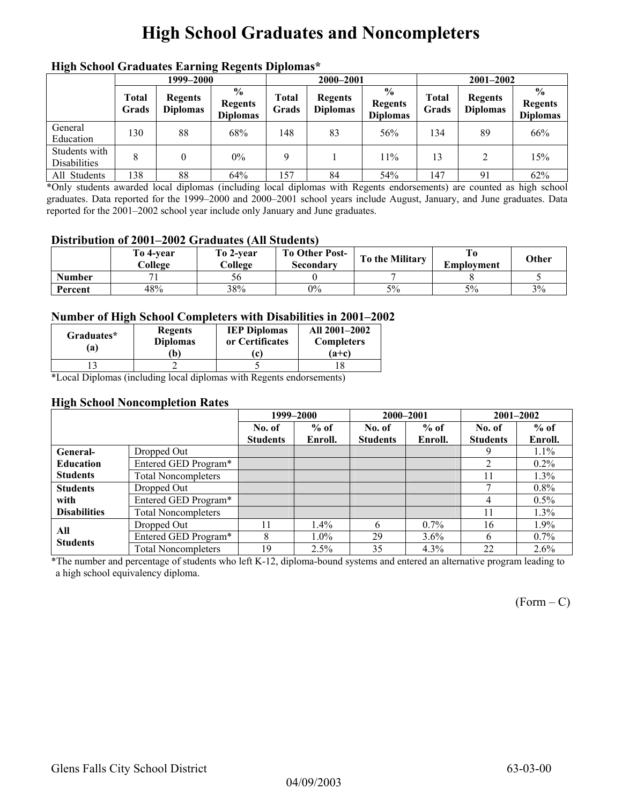## **High School Graduates and Noncompleters**

|                                      | men senoor Graaaates Larming regents Dipromas<br>1999–2000 |                                   |                                                    |                | 2000-2001                         |                                                    | $2001 - 2002$  |                                   |                                                    |
|--------------------------------------|------------------------------------------------------------|-----------------------------------|----------------------------------------------------|----------------|-----------------------------------|----------------------------------------------------|----------------|-----------------------------------|----------------------------------------------------|
|                                      | <b>Total</b><br>Grads                                      | <b>Regents</b><br><b>Diplomas</b> | $\frac{6}{9}$<br><b>Regents</b><br><b>Diplomas</b> | Total<br>Grads | <b>Regents</b><br><b>Diplomas</b> | $\frac{0}{0}$<br><b>Regents</b><br><b>Diplomas</b> | Total<br>Grads | <b>Regents</b><br><b>Diplomas</b> | $\frac{6}{9}$<br><b>Regents</b><br><b>Diplomas</b> |
| General<br>Education                 | 130                                                        | 88                                | 68%                                                | 148            | 83                                | 56%                                                | 134            | 89                                | 66%                                                |
| Students with<br><b>Disabilities</b> | 8                                                          |                                   | $0\%$                                              | 9              |                                   | 11%                                                | 13             |                                   | 15%                                                |
| All Students                         | 138                                                        | 88                                | 64%                                                | 157            | 84                                | 54%                                                | 147            | 91                                | 62%                                                |

#### **High School Graduates Earning Regents Diplomas\***

\*Only students awarded local diplomas (including local diplomas with Regents endorsements) are counted as high school graduates. Data reported for the 1999–2000 and 2000–2001 school years include August, January, and June graduates. Data reported for the 2001–2002 school year include only January and June graduates.

#### **Distribution of 2001–2002 Graduates (All Students)**

|               | To 4-vear<br>College | To 2-vear<br>College | <b>To Other Post-</b><br>Secondary | To the Military | Emplovment | Other |
|---------------|----------------------|----------------------|------------------------------------|-----------------|------------|-------|
| <b>Number</b> |                      | 56                   |                                    |                 |            |       |
| Percent       | 48%                  | 38%                  | $0\%$                              | 5%              | 5%         | 3%    |

#### **Number of High School Completers with Disabilities in 2001–2002**

| Graduates*<br>'a) | <b>Regents</b><br><b>Diplomas</b><br>Ъ) | <b>IEP Diplomas</b><br>or Certificates<br>c | All 2001-2002<br><b>Completers</b><br>$(a+c)$ |
|-------------------|-----------------------------------------|---------------------------------------------|-----------------------------------------------|
|                   |                                         |                                             |                                               |

\*Local Diplomas (including local diplomas with Regents endorsements)

#### **High School Noncompletion Rates**

|                     |                            |                 | 1999-2000 | 2000-2001       |         | $2001 - 2002$   |         |
|---------------------|----------------------------|-----------------|-----------|-----------------|---------|-----------------|---------|
|                     |                            | No. of          | $%$ of    | No. of          | $%$ of  | No. of          | $%$ of  |
|                     |                            | <b>Students</b> | Enroll.   | <b>Students</b> | Enroll. | <b>Students</b> | Enroll. |
| General-            | Dropped Out                |                 |           |                 |         | 9               | $1.1\%$ |
| <b>Education</b>    | Entered GED Program*       |                 |           |                 |         | 2               | $0.2\%$ |
| <b>Students</b>     | <b>Total Noncompleters</b> |                 |           |                 |         | 11              | $1.3\%$ |
| <b>Students</b>     | Dropped Out                |                 |           |                 |         | г,              | $0.8\%$ |
| with                | Entered GED Program*       |                 |           |                 |         | 4               | $0.5\%$ |
| <b>Disabilities</b> | <b>Total Noncompleters</b> |                 |           |                 |         | 11              | $1.3\%$ |
| All                 | Dropped Out                |                 | 1.4%      | h               | $0.7\%$ | 16              | $1.9\%$ |
| <b>Students</b>     | Entered GED Program*       | 8               | $1.0\%$   | 29              | $3.6\%$ | $\mathfrak b$   | $0.7\%$ |
|                     | <b>Total Noncompleters</b> | 19              | 2.5%      | 35              | $4.3\%$ | 22              | $2.6\%$ |

\*The number and percentage of students who left K-12, diploma-bound systems and entered an alternative program leading to a high school equivalency diploma.

 $(Form - C)$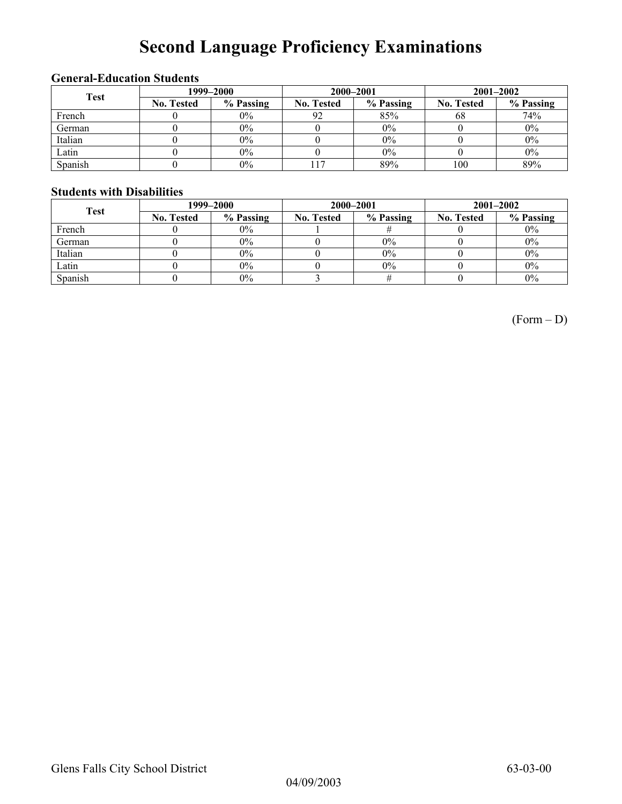# **Second Language Proficiency Examinations**

### **General-Education Students**

| <b>Test</b> | 1999-2000         |           |                   | 2000-2001 | $2001 - 2002$     |           |  |
|-------------|-------------------|-----------|-------------------|-----------|-------------------|-----------|--|
|             | <b>No. Tested</b> | % Passing | <b>No. Tested</b> | % Passing | <b>No. Tested</b> | % Passing |  |
| French      |                   | 0%        | 92                | 85%       | 68                | 74%       |  |
| German      |                   | $0\%$     |                   | 0%        |                   | $0\%$     |  |
| Italian     |                   | $0\%$     |                   | 0%        |                   | $0\%$     |  |
| Latin       |                   | $0\%$     |                   | $0\%$     |                   | $0\%$     |  |
| Spanish     |                   | $0\%$     |                   | 89%       | 100               | 89%       |  |

#### **Students with Disabilities**

| <b>Test</b> | 1999–2000         |           |                   | 2000-2001 | $2001 - 2002$     |           |  |
|-------------|-------------------|-----------|-------------------|-----------|-------------------|-----------|--|
|             | <b>No. Tested</b> | % Passing | <b>No. Tested</b> | % Passing | <b>No. Tested</b> | % Passing |  |
| French      |                   | $0\%$     |                   |           |                   | $0\%$     |  |
| German      |                   | $0\%$     |                   | $0\%$     |                   | $0\%$     |  |
| Italian     |                   | $0\%$     |                   | $0\%$     |                   | 0%        |  |
| Latin       |                   | $0\%$     |                   | $0\%$     |                   | $0\%$     |  |
| Spanish     |                   | $0\%$     |                   |           |                   | $0\%$     |  |

(Form – D)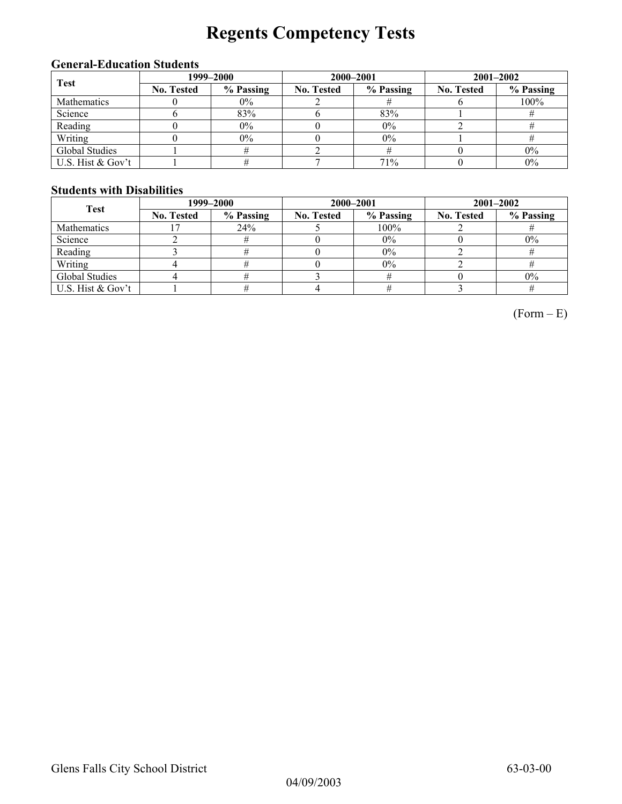# **Regents Competency Tests**

### **General-Education Students**

| <b>Test</b>       | 1999–2000         |           |                   | 2000-2001 | $2001 - 2002$     |           |  |
|-------------------|-------------------|-----------|-------------------|-----------|-------------------|-----------|--|
|                   | <b>No. Tested</b> | % Passing | <b>No. Tested</b> | % Passing | <b>No. Tested</b> | % Passing |  |
| Mathematics       |                   | $0\%$     |                   |           |                   | 100%      |  |
| Science           |                   | 83%       |                   | 83%       |                   |           |  |
| Reading           |                   | $0\%$     |                   | 0%        |                   |           |  |
| Writing           |                   | $0\%$     |                   | $0\%$     |                   |           |  |
| Global Studies    |                   |           |                   |           |                   | $0\%$     |  |
| U.S. Hist & Gov't |                   |           |                   | 71%       |                   | $0\%$     |  |

#### **Students with Disabilities**

| <b>Test</b>        | 1999–2000         |           |                   | 2000-2001 | $2001 - 2002$     |           |  |
|--------------------|-------------------|-----------|-------------------|-----------|-------------------|-----------|--|
|                    | <b>No. Tested</b> | % Passing | <b>No. Tested</b> | % Passing | <b>No. Tested</b> | % Passing |  |
| <b>Mathematics</b> |                   | 24%       |                   | $100\%$   |                   |           |  |
| Science            |                   |           |                   | $0\%$     |                   | $0\%$     |  |
| Reading            |                   |           |                   | $0\%$     |                   |           |  |
| Writing            |                   |           |                   | 0%        |                   |           |  |
| Global Studies     |                   |           |                   |           |                   | $0\%$     |  |
| U.S. Hist & Gov't  |                   |           |                   |           |                   |           |  |

 $(Form - E)$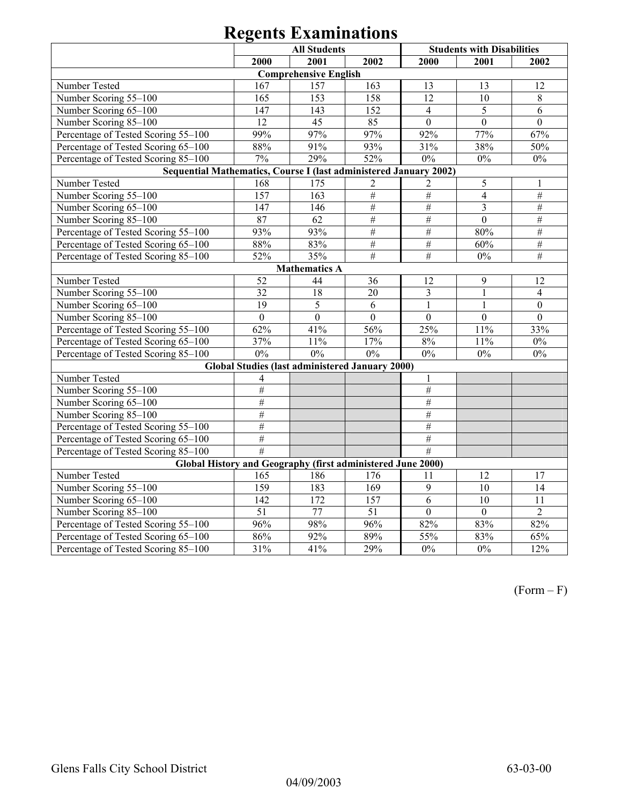| <b>All Students</b>                                               |                 |                                                        |                 |                  | <b>Students with Disabilities</b> |                 |  |  |
|-------------------------------------------------------------------|-----------------|--------------------------------------------------------|-----------------|------------------|-----------------------------------|-----------------|--|--|
|                                                                   | 2000            | 2001                                                   | 2002            | 2000             | 2001                              | 2002            |  |  |
|                                                                   |                 | <b>Comprehensive English</b>                           |                 |                  |                                   |                 |  |  |
| Number Tested                                                     | 167             | 157                                                    | 163             | 13               | 13                                | 12              |  |  |
| Number Scoring 55-100                                             | 165             | 153                                                    | 158             | 12               | 10                                | 8               |  |  |
| Number Scoring 65-100                                             | 147             | 143                                                    | 152             | $\overline{4}$   | 5                                 | 6               |  |  |
| Number Scoring 85-100                                             | 12              | 45                                                     | 85              | $\mathbf{0}$     | $\mathbf{0}$                      | $\mathbf{0}$    |  |  |
| Percentage of Tested Scoring 55-100                               | 99%             | 97%                                                    | 97%             | 92%              | 77%                               | 67%             |  |  |
| Percentage of Tested Scoring 65-100                               | 88%             | 91%                                                    | 93%             | 31%              | 38%                               | 50%             |  |  |
| Percentage of Tested Scoring 85-100                               | 7%              | 29%                                                    | 52%             | $0\%$            | $0\%$                             | $0\%$           |  |  |
| Sequential Mathematics, Course I (last administered January 2002) |                 |                                                        |                 |                  |                                   |                 |  |  |
| Number Tested                                                     | 168             | 175                                                    | $\overline{2}$  | $\overline{c}$   | 5                                 | 1               |  |  |
| Number Scoring 55-100                                             | 157             | $\overline{163}$                                       | $\#$            | $\#$             | $\overline{4}$                    | #               |  |  |
| Number Scoring 65-100                                             | 147             | 146                                                    | $\overline{\#}$ | $\overline{\#}$  | 3                                 | $\#$            |  |  |
| Number Scoring 85-100                                             | 87              | 62                                                     | $\overline{\#}$ | $\#$             | $\mathbf{0}$                      | $\overline{\#}$ |  |  |
| Percentage of Tested Scoring 55-100                               | 93%             | 93%                                                    | $\#$            | $\#$             | 80%                               | $\#$            |  |  |
| Percentage of Tested Scoring 65-100                               | 88%             | 83%                                                    | $\#$            | $\#$             | 60%                               | $\#$            |  |  |
| Percentage of Tested Scoring 85-100                               | 52%             | 35%                                                    | $\overline{\#}$ | #                | $0\%$                             | $\overline{\#}$ |  |  |
| <b>Mathematics A</b>                                              |                 |                                                        |                 |                  |                                   |                 |  |  |
| Number Tested                                                     | 52              | 44                                                     | 36              | 12               | 9                                 | 12              |  |  |
| Number Scoring 55-100                                             | 32              | 18                                                     | 20              | 3                | 1                                 | $\overline{4}$  |  |  |
| Number Scoring 65-100                                             | 19              | $\overline{5}$                                         | 6               | $\mathbf{1}$     | $\mathbf{1}$                      | $\mathbf{0}$    |  |  |
| Number Scoring 85-100                                             | $\overline{0}$  | $\mathbf{0}$                                           | $\mathbf{0}$    | $\boldsymbol{0}$ | $\overline{0}$                    | $\overline{0}$  |  |  |
| Percentage of Tested Scoring 55-100                               | 62%             | 41%                                                    | 56%             | 25%              | 11%                               | 33%             |  |  |
| Percentage of Tested Scoring 65-100                               | 37%             | 11%                                                    | 17%             | $8\%$            | 11%                               | $0\%$           |  |  |
| Percentage of Tested Scoring 85-100                               | 0%              | 0%                                                     | 0%              | $0\%$            | $0\%$                             | $0\%$           |  |  |
|                                                                   |                 | <b>Global Studies (last administered January 2000)</b> |                 |                  |                                   |                 |  |  |
| Number Tested                                                     | 4               |                                                        |                 | 1                |                                   |                 |  |  |
| Number Scoring 55-100                                             | $\#$            |                                                        |                 | $\#$             |                                   |                 |  |  |
| Number Scoring 65-100                                             | $\#$            |                                                        |                 | $\#$             |                                   |                 |  |  |
| Number Scoring 85-100                                             | #               |                                                        |                 | $\#$             |                                   |                 |  |  |
| Percentage of Tested Scoring 55-100                               | #               |                                                        |                 | $\#$             |                                   |                 |  |  |
| Percentage of Tested Scoring 65-100                               | #               |                                                        |                 | $\#$             |                                   |                 |  |  |
| Percentage of Tested Scoring 85-100                               | $\overline{\#}$ |                                                        |                 | #                |                                   |                 |  |  |
| Global History and Geography (first administered June 2000)       |                 |                                                        |                 |                  |                                   |                 |  |  |
| Number Tested                                                     | 165             | 186                                                    | 176             | 11               | 12                                | 17              |  |  |
| Number Scoring 55-100                                             | 159             | 183                                                    | 169             | 9                | 10                                | 14              |  |  |
| Number Scoring 65-100                                             | 142             | 172                                                    | 157             | $\overline{6}$   | 10                                | $\overline{11}$ |  |  |
| Number Scoring 85-100                                             | $\overline{51}$ | 77                                                     | $\overline{51}$ | $\overline{0}$   | $\overline{0}$                    | $\overline{2}$  |  |  |
| Percentage of Tested Scoring 55-100                               | 96%             | 98%                                                    | 96%             | 82%              | 83%                               | 82%             |  |  |
| Percentage of Tested Scoring 65-100                               | 86%             | 92%                                                    | 89%             | 55%              | 83%                               | 65%             |  |  |
| Percentage of Tested Scoring 85-100                               | 31%             | 41%                                                    | 29%             | $0\%$            | $0\%$                             | 12%             |  |  |

 $(Form - F)$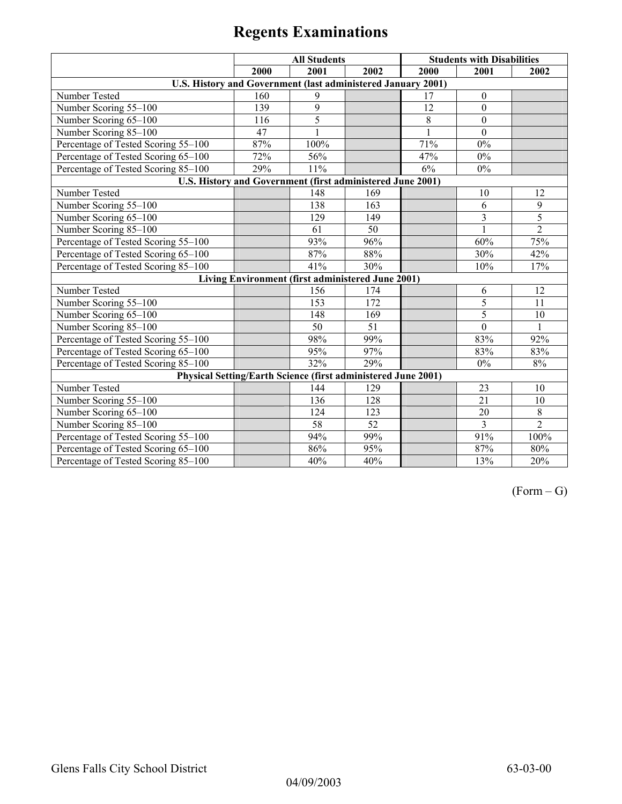|                                                               | <b>All Students</b> |                                                   |      | <b>Students with Disabilities</b> |                  |                |
|---------------------------------------------------------------|---------------------|---------------------------------------------------|------|-----------------------------------|------------------|----------------|
|                                                               | 2000                | 2001                                              | 2002 | 2000                              | 2001             | 2002           |
| U.S. History and Government (last administered January 2001)  |                     |                                                   |      |                                   |                  |                |
| Number Tested                                                 | 160                 | 9                                                 |      | 17                                | $\boldsymbol{0}$ |                |
| Number Scoring 55-100                                         | 139                 | 9                                                 |      | 12                                | $\boldsymbol{0}$ |                |
| Number Scoring 65-100                                         | 116                 | $\overline{5}$                                    |      | $\overline{8}$                    | $\mathbf{0}$     |                |
| Number Scoring 85-100                                         | 47                  |                                                   |      | 1                                 | $\theta$         |                |
| Percentage of Tested Scoring 55-100                           | 87%                 | 100%                                              |      | 71%                               | $0\%$            |                |
| Percentage of Tested Scoring 65-100                           | 72%                 | 56%                                               |      | 47%                               | $0\%$            |                |
| Percentage of Tested Scoring 85-100                           | 29%                 | 11%                                               |      | 6%                                | $0\%$            |                |
| U.S. History and Government (first administered June 2001)    |                     |                                                   |      |                                   |                  |                |
| Number Tested                                                 |                     | 148                                               | 169  |                                   | 10               | 12             |
| Number Scoring 55-100                                         |                     | 138                                               | 163  |                                   | 6                | 9              |
| Number Scoring 65-100                                         |                     | 129                                               | 149  |                                   | 3                | 5              |
| Number Scoring 85-100                                         |                     | 61                                                | 50   |                                   |                  | $\overline{2}$ |
| Percentage of Tested Scoring 55-100                           |                     | 93%                                               | 96%  |                                   | 60%              | 75%            |
| Percentage of Tested Scoring 65-100                           |                     | 87%                                               | 88%  |                                   | 30%              | 42%            |
| Percentage of Tested Scoring 85-100                           |                     | 41%                                               | 30%  |                                   | 10%              | 17%            |
|                                                               |                     | Living Environment (first administered June 2001) |      |                                   |                  |                |
| Number Tested                                                 |                     | 156                                               | 174  |                                   | 6                | 12             |
| Number Scoring 55-100                                         |                     | 153                                               | 172  |                                   | 5                | 11             |
| Number Scoring 65-100                                         |                     | 148                                               | 169  |                                   | 5                | 10             |
| Number Scoring 85-100                                         |                     | 50                                                | 51   |                                   | $\theta$         |                |
| Percentage of Tested Scoring 55-100                           |                     | 98%                                               | 99%  |                                   | 83%              | 92%            |
| Percentage of Tested Scoring 65-100                           |                     | 95%                                               | 97%  |                                   | 83%              | 83%            |
| Percentage of Tested Scoring 85-100                           |                     | 32%                                               | 29%  |                                   | $0\%$            | 8%             |
| Physical Setting/Earth Science (first administered June 2001) |                     |                                                   |      |                                   |                  |                |
| Number Tested                                                 |                     | 144                                               | 129  |                                   | 23               | 10             |
| Number Scoring 55-100                                         |                     | 136                                               | 128  |                                   | 21               | 10             |
| Number Scoring 65-100                                         |                     | 124                                               | 123  |                                   | 20               | $\overline{8}$ |
| Number Scoring 85-100                                         |                     | 58                                                | 52   |                                   | 3                | $\overline{2}$ |
| Percentage of Tested Scoring 55-100                           |                     | 94%                                               | 99%  |                                   | 91%              | 100%           |
| Percentage of Tested Scoring 65-100                           |                     | 86%                                               | 95%  |                                   | 87%              | 80%            |
| Percentage of Tested Scoring 85-100                           |                     | 40%                                               | 40%  |                                   | 13%              | 20%            |

 $(Form - G)$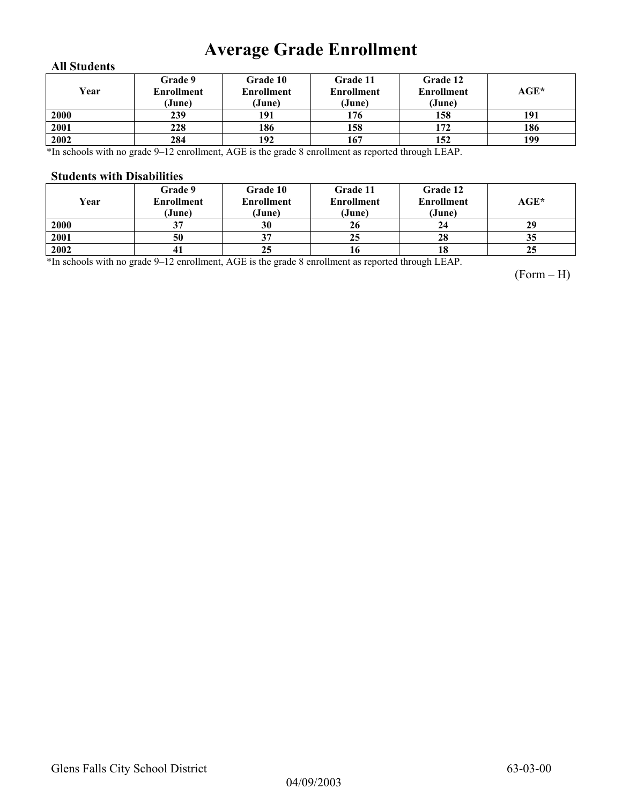## **Average Grade Enrollment**

#### **All Students**

| Year | Grade 9<br>Enrollment<br>(June) | Grade 10<br><b>Enrollment</b><br>(June) | Grade 11<br><b>Enrollment</b><br>(June) | Grade 12<br><b>Enrollment</b><br>(June) | AGE* |
|------|---------------------------------|-----------------------------------------|-----------------------------------------|-----------------------------------------|------|
| 2000 | 239                             | 191                                     | 176                                     | 158                                     | 191  |
| 2001 | 228                             | 186                                     | 158                                     | 172                                     | 186  |
| 2002 | 284                             | 192                                     | 167                                     | 152                                     | 199  |

\*In schools with no grade 9–12 enrollment, AGE is the grade 8 enrollment as reported through LEAP.

#### **Students with Disabilities**

| Year | Grade 9<br><b>Enrollment</b><br>(June) | <b>Grade 10</b><br><b>Enrollment</b><br>(June) | Grade 11<br><b>Enrollment</b><br>(June) | Grade 12<br><b>Enrollment</b><br>(June) | AGE* |
|------|----------------------------------------|------------------------------------------------|-----------------------------------------|-----------------------------------------|------|
| 2000 | 37                                     | 30                                             | 26                                      | 24                                      | 29   |
| 2001 | 50                                     | Э.                                             | 25                                      | 28                                      | 35   |
| 2002 | 41                                     | 25                                             | 16                                      | 18                                      | 25   |

\*In schools with no grade 9–12 enrollment, AGE is the grade 8 enrollment as reported through LEAP.

(Form – H)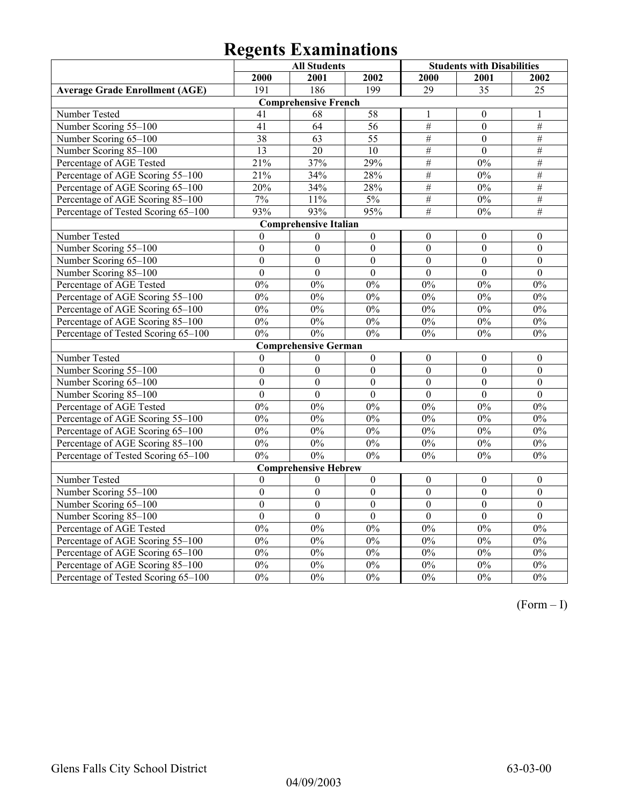|                                       | <b>All Students</b> |                              |                  | <b>Students with Disabilities</b> |                  |                  |  |  |
|---------------------------------------|---------------------|------------------------------|------------------|-----------------------------------|------------------|------------------|--|--|
|                                       | 2000                | 2001                         | 2002             | 2000                              | 2001             | 2002             |  |  |
| <b>Average Grade Enrollment (AGE)</b> | 191                 | 186                          | 199              | $\overline{29}$                   | $\overline{35}$  | $\overline{25}$  |  |  |
| <b>Comprehensive French</b>           |                     |                              |                  |                                   |                  |                  |  |  |
| Number Tested                         | 41                  | 68                           | 58               | 1                                 | $\mathbf{0}$     | 1                |  |  |
| Number Scoring 55-100                 | 41                  | 64                           | $\overline{56}$  | #                                 | $\mathbf{0}$     | $\overline{\#}$  |  |  |
| Number Scoring 65-100                 | $\overline{38}$     | $\overline{63}$              | $\overline{55}$  | $#$                               | $\overline{0}$   | $#$              |  |  |
| Number Scoring 85-100                 | 13                  | 20                           | 10               | $\#$                              | $\boldsymbol{0}$ | $\#$             |  |  |
| Percentage of AGE Tested              | 21%                 | 37%                          | 29%              | $\#$                              | 0%               | $\#$             |  |  |
| Percentage of AGE Scoring 55-100      | 21%                 | 34%                          | 28%              | $\#$                              | 0%               | $\#$             |  |  |
| Percentage of AGE Scoring 65-100      | 20%                 | 34%                          | 28%              | $\#$                              | $0\%$            | $\#$             |  |  |
| Percentage of AGE Scoring 85-100      | $7\%$               | 11%                          | $5\%$            | $#$                               | $0\%$            | $\overline{\#}$  |  |  |
| Percentage of Tested Scoring 65-100   | 93%                 | 93%                          | 95%              | #                                 | 0%               | #                |  |  |
|                                       |                     | <b>Comprehensive Italian</b> |                  |                                   |                  |                  |  |  |
| Number Tested                         | $\theta$            | $\boldsymbol{0}$             | $\boldsymbol{0}$ | $\theta$                          | $\theta$         | $\mathbf{0}$     |  |  |
| Number Scoring 55-100                 | $\mathbf{0}$        | $\overline{0}$               | $\overline{0}$   | $\overline{0}$                    | $\overline{0}$   | $\boldsymbol{0}$ |  |  |
| Number Scoring 65-100                 | $\overline{0}$      | $\overline{0}$               | $\overline{0}$   | $\overline{0}$                    | $\overline{0}$   | $\mathbf{0}$     |  |  |
| Number Scoring 85-100                 | $\mathbf{0}$        | $\mathbf{0}$                 | $\boldsymbol{0}$ | $\overline{0}$                    | $\mathbf{0}$     | $\boldsymbol{0}$ |  |  |
| Percentage of AGE Tested              | $0\%$               | $0\%$                        | $0\%$            | 0%                                | 0%               | 0%               |  |  |
| Percentage of AGE Scoring 55-100      | 0%                  | 0%                           | 0%               | 0%                                | 0%               | 0%               |  |  |
| Percentage of AGE Scoring 65-100      | 0%                  | 0%                           | 0%               | 0%                                | 0%               | 0%               |  |  |
| Percentage of AGE Scoring 85-100      | $0\%$               | $0\%$                        | 0%               | $0\%$                             | $0\%$            | $0\%$            |  |  |
| Percentage of Tested Scoring 65-100   | 0%                  | 0%                           | 0%               | 0%                                | 0%               | $0\%$            |  |  |
|                                       |                     | <b>Comprehensive German</b>  |                  |                                   |                  |                  |  |  |
| Number Tested                         | $\boldsymbol{0}$    | $\boldsymbol{0}$             | $\boldsymbol{0}$ | $\boldsymbol{0}$                  | $\boldsymbol{0}$ | $\boldsymbol{0}$ |  |  |
| Number Scoring 55-100                 | $\boldsymbol{0}$    | $\boldsymbol{0}$             | $\boldsymbol{0}$ | $\overline{0}$                    | $\boldsymbol{0}$ | $\boldsymbol{0}$ |  |  |
| Number Scoring 65-100                 | $\mathbf{0}$        | $\overline{0}$               | $\overline{0}$   | $\overline{0}$                    | $\overline{0}$   | $\overline{0}$   |  |  |
| Number Scoring 85-100                 | $\theta$            | $\overline{0}$               | $\theta$         | $\overline{0}$                    | $\theta$         | $\theta$         |  |  |
| Percentage of AGE Tested              | 0%                  | 0%                           | 0%               | 0%                                | 0%               | 0%               |  |  |
| Percentage of AGE Scoring 55-100      | 0%                  | $0\%$                        | 0%               | 0%                                | 0%               | 0%               |  |  |
| Percentage of AGE Scoring 65-100      | $0\%$               | $0\%$                        | $0\%$            | $0\%$                             | $0\%$            | $0\%$            |  |  |
| Percentage of AGE Scoring 85-100      | $0\%$               | $0\%$                        | 0%               | 0%                                | 0%               | 0%               |  |  |
| Percentage of Tested Scoring 65-100   | 0%                  | 0%                           | 0%               | 0%                                | $0\%$            | $0\%$            |  |  |
|                                       |                     | <b>Comprehensive Hebrew</b>  |                  |                                   |                  |                  |  |  |
| Number Tested                         | $\boldsymbol{0}$    | $\boldsymbol{0}$             | $\boldsymbol{0}$ | $\boldsymbol{0}$                  | $\boldsymbol{0}$ | $\boldsymbol{0}$ |  |  |
| Number Scoring 55-100                 | $\mathbf{0}$        | $\overline{0}$               | $\overline{0}$   | $\overline{0}$                    | $\overline{0}$   | $\overline{0}$   |  |  |
| Number Scoring 65-100                 | $\boldsymbol{0}$    | $\boldsymbol{0}$             | $\boldsymbol{0}$ | $\boldsymbol{0}$                  | $\boldsymbol{0}$ | $\boldsymbol{0}$ |  |  |
| Number Scoring 85-100                 | $\boldsymbol{0}$    | $\boldsymbol{0}$             | $\boldsymbol{0}$ | $\boldsymbol{0}$                  | $\boldsymbol{0}$ | $\boldsymbol{0}$ |  |  |
| Percentage of AGE Tested              | 0%                  | 0%                           | 0%               | 0%                                | 0%               | 0%               |  |  |
| Percentage of AGE Scoring 55-100      | 0%                  | 0%                           | 0%               | 0%                                | 0%               | 0%               |  |  |
| Percentage of AGE Scoring 65-100      | 0%                  | $0\%$                        | 0%               | 0%                                | 0%               | $0\%$            |  |  |
| Percentage of AGE Scoring 85-100      | $0\%$               | $0\%$                        | $0\%$            | $0\%$                             | $0\%$            | $0\%$            |  |  |
| Percentage of Tested Scoring 65-100   | 0%                  | 0%                           | 0%               | 0%                                | 0%               | $\overline{0\%}$ |  |  |

(Form – I)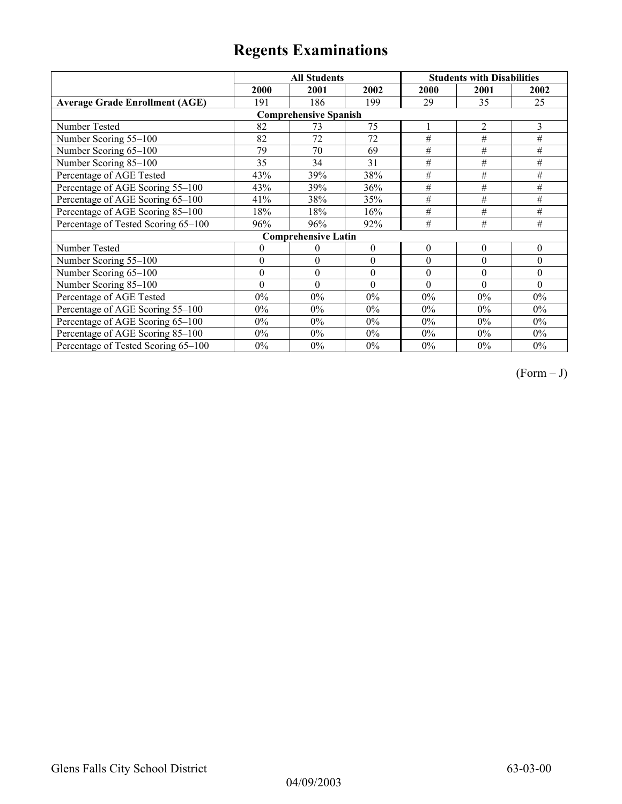|                                       |                | <b>All Students</b>        |              | <b>Students with Disabilities</b> |                |                  |  |  |
|---------------------------------------|----------------|----------------------------|--------------|-----------------------------------|----------------|------------------|--|--|
|                                       | 2000           | 2001                       | 2002         | 2000                              | 2001           | 2002             |  |  |
| <b>Average Grade Enrollment (AGE)</b> | 191            | 186                        | 199          | 29                                | 35             | 25               |  |  |
| <b>Comprehensive Spanish</b>          |                |                            |              |                                   |                |                  |  |  |
| Number Tested                         | 82             | 73                         | 75           |                                   | $\overline{2}$ | 3                |  |  |
| Number Scoring 55-100                 | 82             | 72                         | 72           | $\overline{H}$                    | $\#$           | #                |  |  |
| Number Scoring 65-100                 | 79             | 70                         | 69           | #                                 | #              | #                |  |  |
| Number Scoring 85-100                 | 35             | 34                         | 31           | #                                 | #              | #                |  |  |
| Percentage of AGE Tested              | 43%            | 39%                        | 38%          | $\#$                              | #              | $\#$             |  |  |
| Percentage of AGE Scoring 55-100      | 43%            | 39%                        | 36%          | $\#$                              | $\#$           | $\#$             |  |  |
| Percentage of AGE Scoring 65-100      | 41%            | 38%                        | 35%          | $\#$                              | #              | #                |  |  |
| Percentage of AGE Scoring 85-100      | 18%            | 18%                        | 16%          | #                                 | #              | #                |  |  |
| Percentage of Tested Scoring 65-100   | 96%            | 96%                        | 92%          | #                                 | #              | #                |  |  |
|                                       |                | <b>Comprehensive Latin</b> |              |                                   |                |                  |  |  |
| Number Tested                         | $\overline{0}$ | $\theta$                   | $\mathbf{0}$ | $\theta$                          | $\theta$       | $\boldsymbol{0}$ |  |  |
| Number Scoring 55-100                 | $\theta$       | $\theta$                   | $\theta$     | $\theta$                          | $\theta$       | $\theta$         |  |  |
| Number Scoring 65-100                 | $\mathbf{0}$   | $\boldsymbol{0}$           | $\theta$     | $\theta$                          | $\theta$       | $\theta$         |  |  |
| Number Scoring 85-100                 | $\theta$       | $\theta$                   | $\theta$     | $\theta$                          | $\theta$       | $\Omega$         |  |  |
| Percentage of AGE Tested              | $0\%$          | $0\%$                      | $0\%$        | $0\%$                             | $0\%$          | $0\%$            |  |  |
| Percentage of AGE Scoring 55-100      | $0\%$          | $0\%$                      | $0\%$        | $0\%$                             | $0\%$          | $0\%$            |  |  |
| Percentage of AGE Scoring 65-100      | $0\%$          | $0\%$                      | $0\%$        | 0%                                | $0\%$          | $0\%$            |  |  |
| Percentage of AGE Scoring 85-100      | $0\%$          | $0\%$                      | $0\%$        | 0%                                | $0\%$          | $0\%$            |  |  |
| Percentage of Tested Scoring 65-100   | $0\%$          | $0\%$                      | $0\%$        | $0\%$                             | $0\%$          | $0\%$            |  |  |

 $(Form - J)$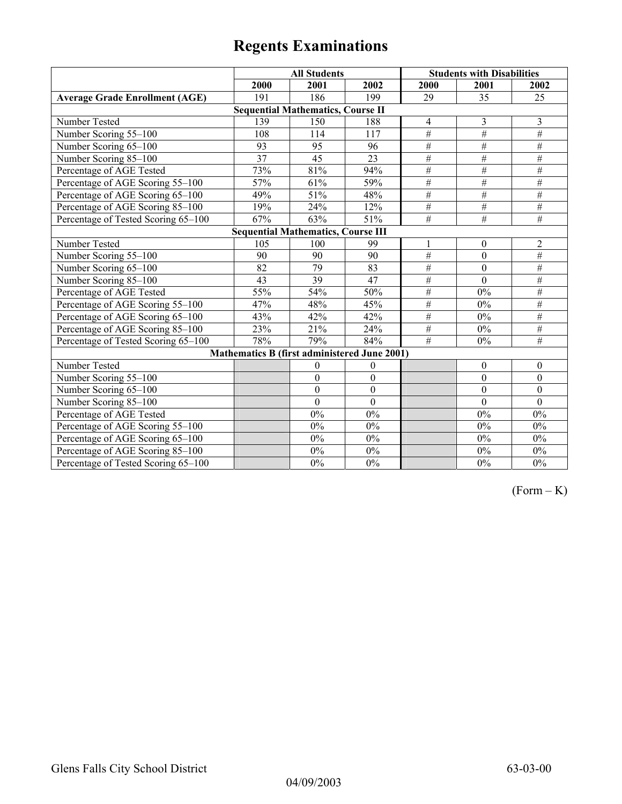|                                           | <b>All Students</b>                          |                  |                  | <b>Students with Disabilities</b> |                  |                  |  |  |
|-------------------------------------------|----------------------------------------------|------------------|------------------|-----------------------------------|------------------|------------------|--|--|
|                                           | 2000                                         | 2001             | 2002             | 2000                              | 2001             | 2002             |  |  |
| <b>Average Grade Enrollment (AGE)</b>     | 191                                          | 186              | 199              | 29                                | 35               | 25               |  |  |
|                                           | <b>Sequential Mathematics, Course II</b>     |                  |                  |                                   |                  |                  |  |  |
| Number Tested                             | 139                                          | 150              | 188              | 4                                 | 3                | 3                |  |  |
| Number Scoring 55-100                     | 108                                          | 114              | 117              | $\#$                              | $\overline{\#}$  | $\#$             |  |  |
| Number Scoring 65-100                     | 93                                           | 95               | 96               | $\overline{\#}$                   | $\overline{\#}$  | $\overline{\#}$  |  |  |
| Number Scoring 85-100                     | $\overline{37}$                              | $\overline{45}$  | $\overline{23}$  | $\#$                              | $\overline{\#}$  | $\#$             |  |  |
| Percentage of AGE Tested                  | 73%                                          | 81%              | 94%              | $\#$                              | $\#$             | $\#$             |  |  |
| Percentage of AGE Scoring 55-100          | 57%                                          | 61%              | 59%              | $\#$                              | $\#$             | $\#$             |  |  |
| Percentage of AGE Scoring 65-100          | 49%                                          | 51%              | 48%              | #                                 | $\overline{\#}$  | #                |  |  |
| Percentage of AGE Scoring 85-100          | 19%                                          | 24%              | 12%              | $\#$                              | $\#$             | $\overline{\#}$  |  |  |
| Percentage of Tested Scoring 65-100       | 67%                                          | 63%              | 51%              | $\overline{\#}$                   | $\overline{\#}$  | $\overline{\#}$  |  |  |
| <b>Sequential Mathematics, Course III</b> |                                              |                  |                  |                                   |                  |                  |  |  |
| Number Tested                             | 105                                          | 100              | 99               | 1                                 | $\boldsymbol{0}$ | $\overline{2}$   |  |  |
| Number Scoring 55-100                     | 90                                           | 90               | 90               | #                                 | $\overline{0}$   | $\overline{\#}$  |  |  |
| Number Scoring 65-100                     | 82                                           | 79               | 83               | #                                 | $\theta$         | $\#$             |  |  |
| Number Scoring 85-100                     | 43                                           | $\overline{39}$  | 47               | #                                 | $\mathbf{0}$     | #                |  |  |
| Percentage of AGE Tested                  | 55%                                          | 54%              | 50%              | #                                 | $0\%$            | $\#$             |  |  |
| Percentage of AGE Scoring 55-100          | 47%                                          | 48%              | 45%              | $\overline{\#}$                   | 0%               | #                |  |  |
| Percentage of AGE Scoring 65-100          | 43%                                          | 42%              | 42%              | $\overline{\#}$                   | $0\%$            | #                |  |  |
| Percentage of AGE Scoring 85-100          | 23%                                          | 21%              | 24%              | #                                 | $0\%$            | $\overline{\#}$  |  |  |
| Percentage of Tested Scoring 65-100       | 78%                                          | 79%              | 84%              | #                                 | 0%               | $\overline{\#}$  |  |  |
|                                           | Mathematics B (first administered June 2001) |                  |                  |                                   |                  |                  |  |  |
| Number Tested                             |                                              | $\boldsymbol{0}$ | $\boldsymbol{0}$ |                                   | $\boldsymbol{0}$ | $\boldsymbol{0}$ |  |  |
| Number Scoring 55-100                     |                                              | $\boldsymbol{0}$ | $\boldsymbol{0}$ |                                   | $\mathbf{0}$     | $\boldsymbol{0}$ |  |  |
| Number Scoring 65-100                     |                                              | $\boldsymbol{0}$ | $\boldsymbol{0}$ |                                   | $\boldsymbol{0}$ | $\boldsymbol{0}$ |  |  |
| Number Scoring 85-100                     |                                              | $\mathbf{0}$     | $\mathbf{0}$     |                                   | $\theta$         | $\mathbf{0}$     |  |  |
| Percentage of AGE Tested                  |                                              | 0%               | $0\%$            |                                   | $0\%$            | $0\%$            |  |  |
| Percentage of AGE Scoring 55-100          |                                              | 0%               | $0\%$            |                                   | $0\%$            | $0\%$            |  |  |
| Percentage of AGE Scoring 65-100          |                                              | 0%               | $0\%$            |                                   | $0\%$            | $0\%$            |  |  |
| Percentage of AGE Scoring 85-100          |                                              | $0\%$            | $0\%$            |                                   | $0\%$            | $0\%$            |  |  |
| Percentage of Tested Scoring 65-100       |                                              | $0\%$            | $0\%$            |                                   | $0\%$            | $0\%$            |  |  |

 $(Form - K)$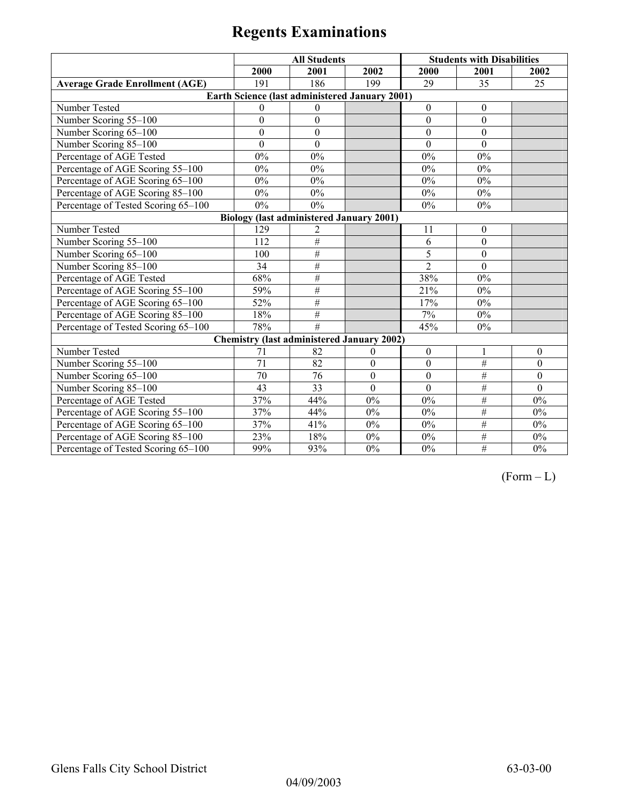|                                       | <b>All Students</b> |                                                   |                  |                  | <b>Students with Disabilities</b> |                  |
|---------------------------------------|---------------------|---------------------------------------------------|------------------|------------------|-----------------------------------|------------------|
|                                       | 2000                | 2001                                              | 2002             | 2000             | 2001                              | 2002             |
| <b>Average Grade Enrollment (AGE)</b> | 191                 | 186                                               | 199              | 29               | 35                                | 25               |
|                                       |                     | Earth Science (last administered January 2001)    |                  |                  |                                   |                  |
| Number Tested                         | $\theta$            | $\theta$                                          |                  | $\theta$         | $\theta$                          |                  |
| Number Scoring 55-100                 | $\overline{0}$      | $\overline{0}$                                    |                  | $\overline{0}$   | $\mathbf{0}$                      |                  |
| Number Scoring 65-100                 | $\mathbf{0}$        | $\boldsymbol{0}$                                  |                  | $\mathbf{0}$     | $\mathbf{0}$                      |                  |
| Number Scoring 85-100                 | $\overline{0}$      | $\boldsymbol{0}$                                  |                  | $\mathbf{0}$     | $\mathbf{0}$                      |                  |
| Percentage of AGE Tested              | 0%                  | 0%                                                |                  | 0%               | $0\%$                             |                  |
| Percentage of AGE Scoring 55-100      | $0\%$               | $0\%$                                             |                  | 0%               | $0\%$                             |                  |
| Percentage of AGE Scoring 65-100      | $0\%$               | $0\%$                                             |                  | 0%               | $0\%$                             |                  |
| Percentage of AGE Scoring 85-100      | $0\%$               | $0\%$                                             |                  | $0\%$            | $0\%$                             |                  |
| Percentage of Tested Scoring 65-100   | 0%                  | 0%                                                |                  | 0%               | $0\%$                             |                  |
|                                       |                     | <b>Biology (last administered January 2001)</b>   |                  |                  |                                   |                  |
| Number Tested                         | 129                 | 2                                                 |                  | 11               | $\boldsymbol{0}$                  |                  |
| Number Scoring 55-100                 | 112                 | #                                                 |                  | 6                | $\theta$                          |                  |
| Number Scoring 65-100                 | 100                 | $\#$                                              |                  | 5                | $\mathbf{0}$                      |                  |
| Number Scoring 85-100                 | 34                  | #                                                 |                  | $\overline{2}$   | $\mathbf{0}$                      |                  |
| Percentage of AGE Tested              | 68%                 | $\#$                                              |                  | 38%              | $0\%$                             |                  |
| Percentage of AGE Scoring 55-100      | 59%                 | $\overline{\#}$                                   |                  | 21%              | $0\%$                             |                  |
| Percentage of AGE Scoring 65-100      | 52%                 | #                                                 |                  | 17%              | $0\%$                             |                  |
| Percentage of AGE Scoring 85-100      | 18%                 | $\#$                                              |                  | 7%               | 0%                                |                  |
| Percentage of Tested Scoring 65-100   | 78%                 | #                                                 |                  | 45%              | $0\%$                             |                  |
|                                       |                     | <b>Chemistry (last administered January 2002)</b> |                  |                  |                                   |                  |
| Number Tested                         | 71                  | 82                                                | $\theta$         | $\boldsymbol{0}$ | 1                                 | $\theta$         |
| Number Scoring 55-100                 | 71                  | 82                                                | $\boldsymbol{0}$ | $\boldsymbol{0}$ | $\overline{\#}$                   | $\boldsymbol{0}$ |
| Number Scoring 65-100                 | $\overline{70}$     | 76                                                | $\boldsymbol{0}$ | $\boldsymbol{0}$ | #                                 | $\boldsymbol{0}$ |
| Number Scoring 85-100                 | 43                  | 33                                                | $\theta$         | $\theta$         | $\overline{\#}$                   | $\theta$         |
| Percentage of AGE Tested              | 37%                 | 44%                                               | 0%               | $0\%$            | $\#$                              | $0\%$            |
| Percentage of AGE Scoring 55-100      | 37%                 | 44%                                               | $0\%$            | 0%               | $\overline{\#}$                   | $0\%$            |
| Percentage of AGE Scoring 65-100      | 37%                 | 41%                                               | $0\%$            | $0\%$            | #                                 | $0\%$            |
| Percentage of AGE Scoring 85-100      | 23%                 | 18%                                               | $0\%$            | 0%               | $\#$                              | $0\%$            |
| Percentage of Tested Scoring 65-100   | 99%                 | 93%                                               | $0\%$            | $0\%$            | $\#$                              | $0\%$            |

 $(Form - L)$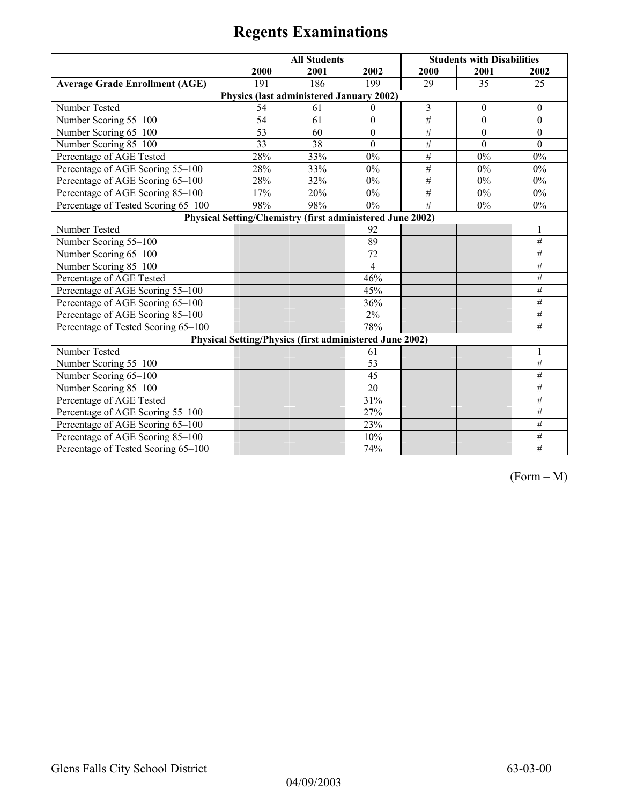|                                                           | <b>All Students</b> |                                          |                                                                |                | <b>Students with Disabilities</b> |                  |  |
|-----------------------------------------------------------|---------------------|------------------------------------------|----------------------------------------------------------------|----------------|-----------------------------------|------------------|--|
|                                                           | 2000                | 2001                                     | 2002                                                           | 2000           | 2001                              | 2002             |  |
| <b>Average Grade Enrollment (AGE)</b>                     | 191                 | 186                                      | 199                                                            | 29             | 35                                | 25               |  |
|                                                           |                     | Physics (last administered January 2002) |                                                                |                |                                   |                  |  |
| Number Tested                                             | 54                  | 61                                       | $\theta$                                                       | 3              | $\boldsymbol{0}$                  | $\boldsymbol{0}$ |  |
| Number Scoring 55-100                                     | $\overline{54}$     | 61                                       | $\mathbf{0}$                                                   | $\#$           | $\mathbf{0}$                      | $\mathbf{0}$     |  |
| Number Scoring 65-100                                     | 53                  | 60                                       | $\boldsymbol{0}$                                               | $\#$           | $\boldsymbol{0}$                  | $\boldsymbol{0}$ |  |
| Number Scoring 85-100                                     | 33                  | 38                                       | $\mathbf{0}$                                                   | $\#$           | $\Omega$                          | $\theta$         |  |
| Percentage of AGE Tested                                  | 28%                 | 33%                                      | $0\%$                                                          | #              | 0%                                | $0\%$            |  |
| Percentage of AGE Scoring 55-100                          | 28%                 | 33%                                      | $0\%$                                                          | $\#$           | 0%                                | $0\%$            |  |
| Percentage of AGE Scoring 65-100                          | 28%                 | 32%                                      | $0\%$                                                          | $\#$           | $0\%$                             | $0\%$            |  |
| Percentage of AGE Scoring 85-100                          | 17%                 | 20%                                      | 0%                                                             | $\#$           | $0\%$                             | $0\%$            |  |
| Percentage of Tested Scoring 65-100                       | 98%                 | 98%                                      | $0\%$                                                          | $\overline{H}$ | 0%                                | 0%               |  |
| Physical Setting/Chemistry (first administered June 2002) |                     |                                          |                                                                |                |                                   |                  |  |
| Number Tested                                             |                     |                                          | 92                                                             |                |                                   |                  |  |
| Number Scoring 55-100                                     |                     |                                          | 89                                                             |                |                                   | #                |  |
| Number Scoring 65-100                                     |                     |                                          | 72                                                             |                |                                   | $\#$             |  |
| Number Scoring 85-100                                     |                     |                                          | $\overline{4}$                                                 |                |                                   | $\#$             |  |
| Percentage of AGE Tested                                  |                     |                                          | 46%                                                            |                |                                   | #                |  |
| Percentage of AGE Scoring 55-100                          |                     |                                          | 45%                                                            |                |                                   | $\#$             |  |
| Percentage of AGE Scoring 65-100                          |                     |                                          | 36%                                                            |                |                                   | #                |  |
| Percentage of AGE Scoring 85-100                          |                     |                                          | 2%                                                             |                |                                   | $\#$             |  |
| Percentage of Tested Scoring 65-100                       |                     |                                          | 78%                                                            |                |                                   | #                |  |
|                                                           |                     |                                          | <b>Physical Setting/Physics (first administered June 2002)</b> |                |                                   |                  |  |
| Number Tested                                             |                     |                                          | 61                                                             |                |                                   |                  |  |
| Number Scoring 55-100                                     |                     |                                          | 53                                                             |                |                                   | $\overline{\#}$  |  |
| Number Scoring 65-100                                     |                     |                                          | 45                                                             |                |                                   | #                |  |
| Number Scoring 85-100                                     |                     |                                          | 20                                                             |                |                                   | $\#$             |  |
| Percentage of AGE Tested                                  |                     |                                          | 31%                                                            |                |                                   | $\#$             |  |
| Percentage of AGE Scoring 55-100                          |                     |                                          | 27%                                                            |                |                                   | $\overline{\#}$  |  |
| Percentage of AGE Scoring 65-100                          |                     |                                          | 23%                                                            |                |                                   | #                |  |
| Percentage of AGE Scoring 85-100                          |                     |                                          | 10%                                                            |                |                                   | #                |  |
| Percentage of Tested Scoring 65-100                       |                     |                                          | 74%                                                            |                |                                   | #                |  |

(Form – M)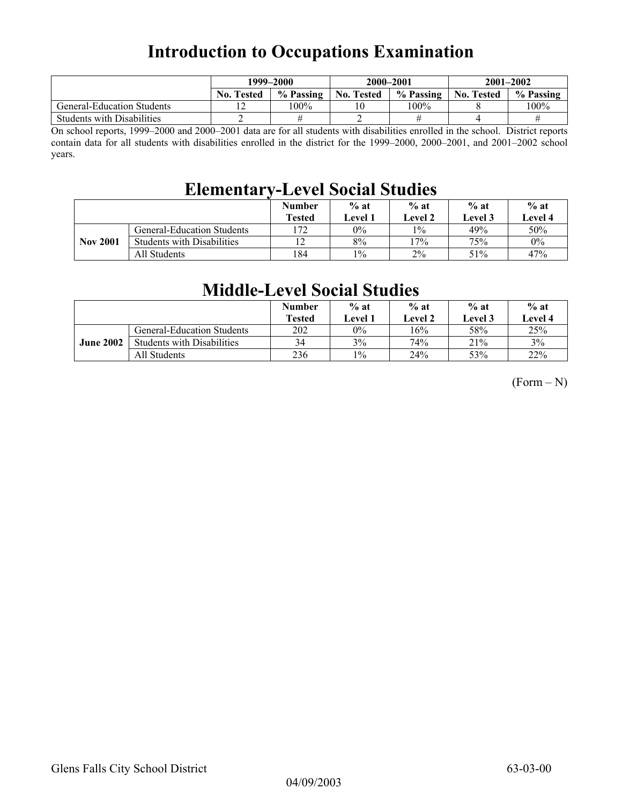## **Introduction to Occupations Examination**

|                                   | 1999–2000         |           | 2000-2001         |           | $2001 - 2002$     |           |
|-----------------------------------|-------------------|-----------|-------------------|-----------|-------------------|-----------|
|                                   | <b>No. Tested</b> | % Passing | <b>No. Tested</b> | % Passing | <b>No. Tested</b> | % Passing |
| <b>General-Education Students</b> |                   | 100%      |                   | 100%      |                   | 100%      |
| <b>Students with Disabilities</b> |                   |           |                   |           |                   |           |

On school reports, 1999–2000 and 2000–2001 data are for all students with disabilities enrolled in the school. District reports contain data for all students with disabilities enrolled in the district for the 1999–2000, 2000–2001, and 2001–2002 school years.

### **Elementary-Level Social Studies**

|                 |                                   | <b>Number</b><br><b>Tested</b> | $%$ at<br><b>Level 1</b> | $%$ at<br><b>Level 2</b> | $%$ at<br>Level 3 | $%$ at<br><b>Level 4</b> |
|-----------------|-----------------------------------|--------------------------------|--------------------------|--------------------------|-------------------|--------------------------|
|                 | General-Education Students        | ר ז                            | $0\%$                    | $1\%$                    | 49%               | 50%                      |
| <b>Nov 2001</b> | <b>Students with Disabilities</b> |                                | 8%                       | $7\%$                    | 75%               | $0\%$                    |
|                 | All Students                      | 184                            | $1\%$                    | 2%                       | 51%               | 47%                      |

### **Middle-Level Social Studies**

|                  |                                   | <b>Number</b><br><b>Tested</b> | $%$ at<br>Level 1 | $%$ at<br>Level 2 | $%$ at<br>Level 3 | $%$ at<br>Level 4 |
|------------------|-----------------------------------|--------------------------------|-------------------|-------------------|-------------------|-------------------|
|                  | <b>General-Education Students</b> | 202                            | $0\%$             | 16%               | 58%               | 25%               |
| <b>June 2002</b> | <b>Students with Disabilities</b> | 34                             | 3%                | 74%               | 21%               | 3%                |
|                  | All Students                      | 236                            | $1\%$             | 24%               | 53%               | 22%               |

 $(Form - N)$